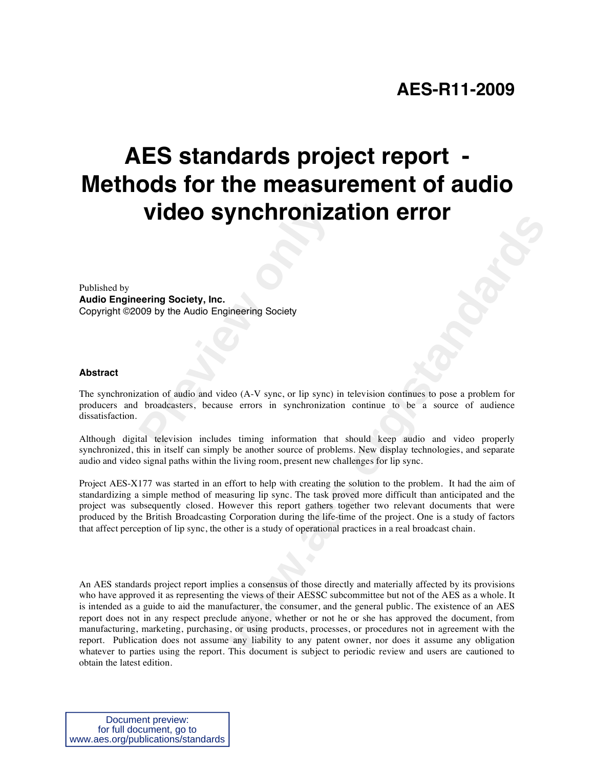# **AES standards project report - Methods for the measurement of audio video synchronization error**

Published by **Audio Engineering Society, Inc.** Copyright ©2009 by the Audio Engineering Society

#### **Abstract**

**Video synchroniz:**<br> **Preving Society, Inc.**<br> **Preving Society, Inc.**<br> **Prevideo Engineering Society**<br> **Provideosity**<br> **Provideosity**<br> **Provideosity**<br> **Provideosity**<br> **Provideosity**<br> **Provideosity**<br> **Provideosity**<br> **Provid** The synchronization of audio and video (A-V sync, or lip sync) in television continues to pose a problem for producers and broadcasters, because errors in synchronization continue to be a source of audience dissatisfaction.

Although digital television includes timing information that should keep audio and video properly synchronized, this in itself can simply be another source of problems. New display technologies, and separate audio and video signal paths within the living room, present new challenges for lip sync.

Project AES-X177 was started in an effort to help with creating the solution to the problem. It had the aim of standardizing a simple method of measuring lip sync. The task proved more difficult than anticipated and the project was subsequently closed. However this report gathers together two relevant documents that were produced by the British Broadcasting Corporation during the life-time of the project. One is a study of factors that affect perception of lip sync, the other is a study of operational practices in a real broadcast chain.

**EVIDENTI CONTRACTION TRANSPARED CONTRACT CONTRACT CONTRACT CONTRACT (SOFT)**<br> **EVIDENT** CONTRACT CONTRACT CONTRACT CONTRACT CONTRACT CONTRACT CONTRACT CONTRACT CONTRACT CONTRACT (TO A SOFT CONTRACT CONTRACT CONTRACT CONTRA An AES standards project report implies a consensus of those directly and materially affected by its provisions who have approved it as representing the views of their AESSC subcommittee but not of the AES as a whole. It is intended as a guide to aid the manufacturer, the consumer, and the general public. The existence of an AES report does not in any respect preclude anyone, whether or not he or she has approved the document, from manufacturing, marketing, purchasing, or using products, processes, or procedures not in agreement with the report. Publication does not assume any liability to any patent owner, nor does it assume any obligation whatever to parties using the report. This document is subject to periodic review and users are cautioned to obtain the latest edition.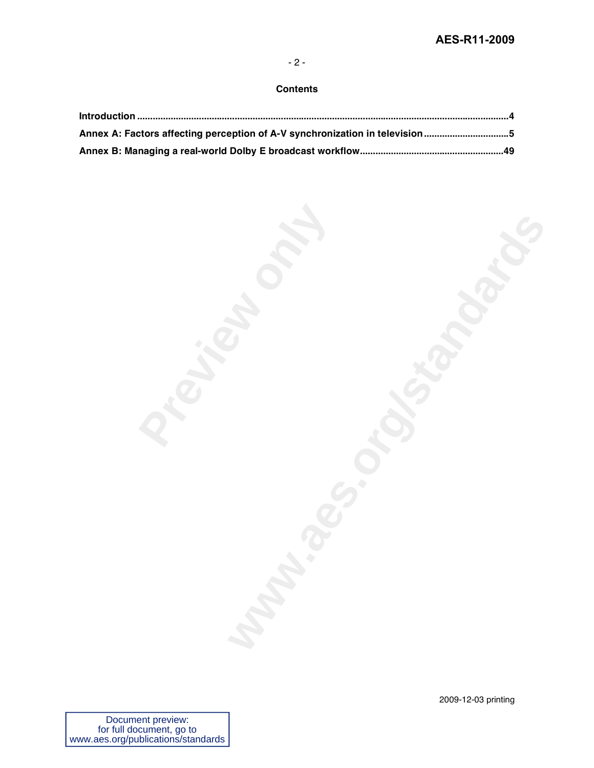### - 2 -

### **Contents**

| Annex A: Factors affecting perception of A-V synchronization in television 5 |  |
|------------------------------------------------------------------------------|--|
|                                                                              |  |

| Particular | <b>WANNARD CONSTRUCTION OF</b> |
|------------|--------------------------------|
|            |                                |
|            |                                |
|            |                                |
|            |                                |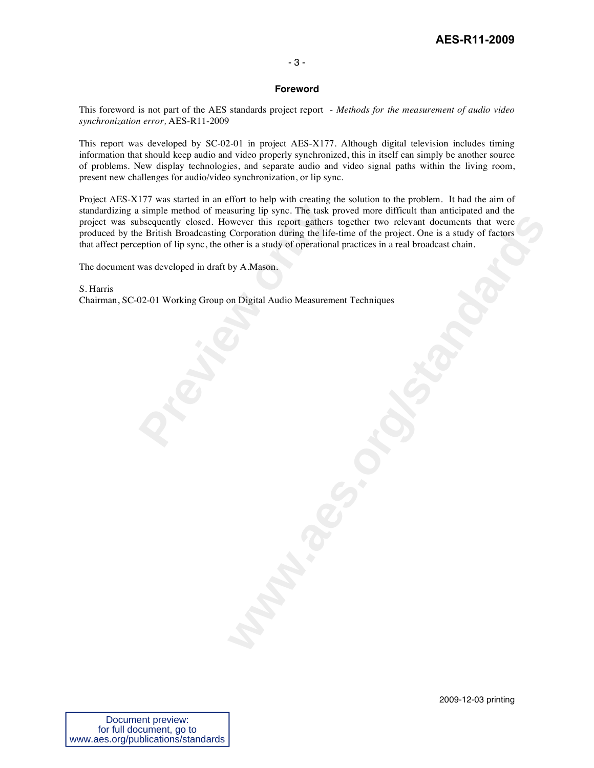## **AES-R11-2009**

### - 3 -

#### **Foreword**

This foreword is not part of the AES standards project report - *Methods for the measurement of audio video synchronization error,* AES-R11-2009

This report was developed by SC-02-01 in project AES-X177. Although digital television includes timing information that should keep audio and video properly synchronized, this in itself can simply be another source of problems. New display technologies, and separate audio and video signal paths within the living room, present new challenges for audio/video synchronization, or lip sync.

Figure 11 Simple method of measuring lip sync. The task p<br>bsequently closed. However this report gathers<br>e British Broadcasting Corporation during the life-<br>eption of lip sync, the other is a study of operational<br>was devel Project AES-X177 was started in an effort to help with creating the solution to the problem. It had the aim of standardizing a simple method of measuring lip sync. The task proved more difficult than anticipated and the project was subsequently closed. However this report gathers together two relevant documents that were produced by the British Broadcasting Corporation during the life-time of the project. One is a study of factors that affect perception of lip sync, the other is a study of operational practices in a real broadcast chain.

The document was developed in draft by A.Mason.

S. Harris Chairman, SC-02-01 Working Group on Digital Audio Measurement Techniques